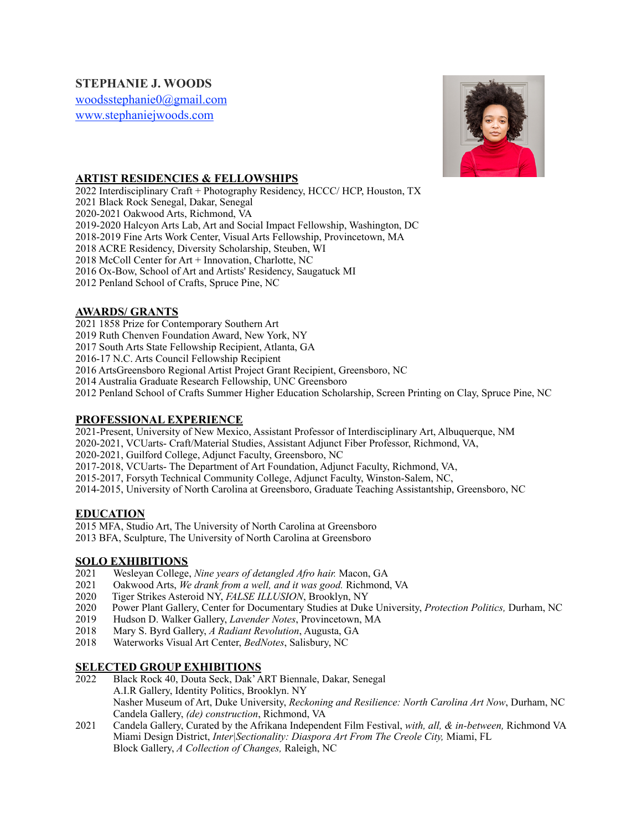# **STEPHANIE J. WOODS**

[woodsstephanie0@gmail.com](mailto:woodsstephanie0@gmail.com) [www.stephaniejwoods.com](http://www.stephaniejwoods.com)



### **ARTIST RESIDENCIES & FELLOWSHIPS**

2022 Interdisciplinary Craft + Photography Residency, HCCC/ HCP, Houston, TX 2021 Black Rock Senegal, Dakar, Senegal 2020-2021 Oakwood Arts, Richmond, VA 2019-2020 Halcyon Arts Lab, Art and Social Impact Fellowship, Washington, DC 2018-2019 Fine Arts Work Center, Visual Arts Fellowship, Provincetown, MA 2018 ACRE Residency, Diversity Scholarship, Steuben, WI 2018 McColl Center for Art + Innovation, Charlotte, NC 2016 Ox-Bow, School of Art and Artists' Residency, Saugatuck MI 2012 Penland School of Crafts, Spruce Pine, NC

### **AWARDS/ GRANTS**

2021 1858 Prize for Contemporary Southern Art

2019 Ruth Chenven Foundation Award, New York, NY

2017 South Arts State Fellowship Recipient, Atlanta, GA

2016-17 N.C. Arts Council Fellowship Recipient

2016 ArtsGreensboro Regional Artist Project Grant Recipient, Greensboro, NC

2014 Australia Graduate Research Fellowship, UNC Greensboro

2012 Penland School of Crafts Summer Higher Education Scholarship, Screen Printing on Clay, Spruce Pine, NC

#### **PROFESSIONAL EXPERIENCE**

2021-Present, University of New Mexico, Assistant Professor of Interdisciplinary Art, Albuquerque, NM 2020-2021, VCUarts- Craft/Material Studies, Assistant Adjunct Fiber Professor, Richmond, VA, 2020-2021, Guilford College, Adjunct Faculty, Greensboro, NC 2017-2018, VCUarts- The Department of Art Foundation, Adjunct Faculty, Richmond, VA, 2015-2017, Forsyth Technical Community College, Adjunct Faculty, Winston-Salem, NC, 2014-2015, University of North Carolina at Greensboro, Graduate Teaching Assistantship, Greensboro, NC

#### **EDUCATION**

2015 MFA, Studio Art, The University of North Carolina at Greensboro 2013 BFA, Sculpture, The University of North Carolina at Greensboro

### **SOLO EXHIBITIONS**

- 2021 Wesleyan College, *Nine years of detangled Afro hair.* Macon, GA
- 2021 Oakwood Arts, *We drank from a well, and it was good.* Richmond, VA
- 2020 Tiger Strikes Asteroid NY, *FALSE ILLUSION*, Brooklyn, NY
- 2020 Power Plant Gallery, Center for Documentary Studies at Duke University, *Protection Politics,* Durham, NC
- 2019 Hudson D. Walker Gallery, *Lavender Notes*, Provincetown, MA
- 2018 Mary S. Byrd Gallery, *A Radiant Revolution*, Augusta, GA
- 2018 Waterworks Visual Art Center, *BedNotes*, Salisbury, NC

#### **SELECTED GROUP EXHIBITIONS**

- 2022 Black Rock 40, Douta Seck, Dak' ART Biennale, Dakar, Senegal A.I.R Gallery, Identity Politics, Brooklyn. NY Nasher Museum of Art, Duke University, *Reckoning and Resilience: North Carolina Art Now*, Durham, NC Candela Gallery, *(de) construction*, Richmond, VA
- 2021 Candela Gallery, Curated by the Afrikana Independent Film Festival, *with, all, & in-between,* Richmond VA Miami Design District, *Inter|Sectionality: Diaspora Art From The Creole City,* Miami, FL Block Gallery, *A Collection of Changes,* Raleigh, NC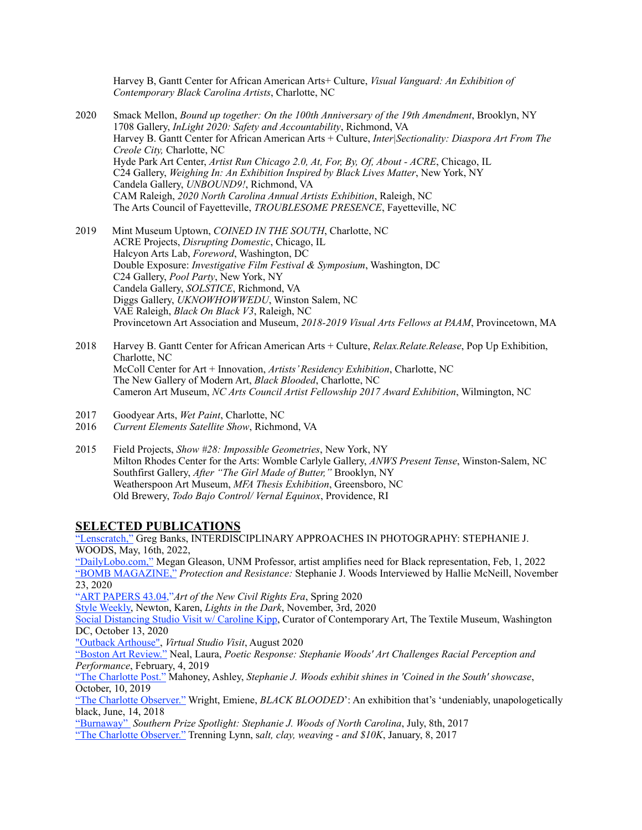Harvey B, Gantt Center for African American Arts+ Culture, *Visual Vanguard: An Exhibition of Contemporary Black Carolina Artists*, Charlotte, NC

- 2020 Smack Mellon, *Bound up together: On the 100th Anniversary of the 19th Amendment*, Brooklyn, NY 1708 Gallery, *InLight 2020: Safety and Accountability*, Richmond, VA Harvey B. Gantt Center for African American Arts + Culture, *Inter|Sectionality: Diaspora Art From The Creole City,* Charlotte, NC Hyde Park Art Center, *Artist Run Chicago 2.0, At, For, By, Of, About - ACRE*, Chicago, IL C24 Gallery, *Weighing In: An Exhibition Inspired by Black Lives Matter*, New York, NY Candela Gallery, *UNBOUND9!*, Richmond, VA CAM Raleigh, *2020 North Carolina Annual Artists Exhibition*, Raleigh, NC The Arts Council of Fayetteville, *TROUBLESOME PRESENCE*, Fayetteville, NC
- 2019 Mint Museum Uptown, *COINED IN THE SOUTH*, Charlotte, NC ACRE Projects, *Disrupting Domestic*, Chicago, IL Halcyon Arts Lab, *Foreword*, Washington, DC Double Exposure: *Investigative Film Festival & Symposium*, Washington, DC C24 Gallery, *Pool Party*, New York, NY Candela Gallery, *SOLSTICE*, Richmond, VA Diggs Gallery, *UKNOWHOWWEDU*, Winston Salem, NC VAE Raleigh, *Black On Black V3*, Raleigh, NC Provincetown Art Association and Museum, *2018-2019 Visual Arts Fellows at PAAM*, Provincetown, MA
- 2018 Harvey B. Gantt Center for African American Arts + Culture, *Relax.Relate.Release*, Pop Up Exhibition, Charlotte, NC McColl Center for Art + Innovation, *Artists' Residency Exhibition*, Charlotte, NC The New Gallery of Modern Art, *Black Blooded*, Charlotte, NC Cameron Art Museum, *NC Arts Council Artist Fellowship 2017 Award Exhibition*, Wilmington, NC
- 2017 Goodyear Arts, *Wet Paint*, Charlotte, NC
- **Current Elements Satellite Show, Richmond, VA**
- 2015 Field Projects, *Show #28: Impossible Geometries*, New York, NY Milton Rhodes Center for the Arts: Womble Carlyle Gallery, *ANWS Present Tense*, Winston-Salem, NC Southfirst Gallery, *After "The Girl Made of Butter,"* Brooklyn, NY Weatherspoon Art Museum, *MFA Thesis Exhibition*, Greensboro, NC Old Brewery, *Todo Bajo Control/ Vernal Equinox*, Providence, RI

#### **SELECTED PUBLICATIONS**

["Lenscratch,"](http://lenscratch.com/2022/05/stephanie-j-woods/) Greg Banks, INTERDISCIPLINARY APPROACHES IN PHOTOGRAPHY: STEPHANIE J. WOODS, May, 16th, 2022, ["DailyLobo.com,"](https://www.dailylobo.com/article/2022/02/unm-professor-artist-amplifies-need-for-black-representation) Megan Gleason, UNM Professor, artist amplifies need for Black representation, Feb, 1, 2022 ["BOMB MAGAZINE,"](https://bombmagazine.org/articles/protection-and-resistance-stephanie-j-woods-interviewed/) *Protection and Resistance:* Stephanie J. Woods Interviewed by Hallie McNeill, November 23, 2020

["ART PAPERS 43.04,](https://www.artpapers.org/art-of-the-new-civil-rights-era/)"*Art of the New Civil Rights Era*, Spring 2020

[Style Weekly,](https://m.styleweekly.com/richmond/lights-in-the-dark/Content?oid=16729358) Newton, Karen, *Lights in the Dark*, November, 3rd, 2020

[Social Distancing Studio Visit w/ Caroline Kipp,](http://carolinekipp.com/social-distancing-studio-visits/2020/10/13/stephanie-j-woods) Curator of Contemporary Art, The Textile Museum, Washington DC, October 13, 2020

["Outback Arthouse",](http://www.outbackarthouse.com/stephanie-j-woods.html) *Virtual Studio Visit*, August 2020

["Boston Art Review."](http://bostonartreview.com/reviews/stephanie-woods-lavender-notes-provincetown/) Neal, Laura, *Poetic Response: Stephanie Woods' Art Challenges Racial Perception and Performance*, February, 4, 2019

["The Charlotte Post."](http://www.thecharlottepost.com/news/2019/10/10/arts-and-entertainment/stephanie-j.-woods-exhibit-shines-in-coined-in-the-south-showcase/) Mahoney, Ashley, *Stephanie J. Woods exhibit shines in 'Coined in the South' showcase*, October, 10, 2019

["The Charlotte Observer."](https://www.charlotteobserver.com/entertainment/arts-culture/article213157799.html) Wright, Emiene, *BLACK BLOODED*': An exhibition that's 'undeniably, unapologetically black, June, 14, 2018

["Burnaway"](http://burnaway.org/feature/southern-prize-spotlight-stephanie-j-woods-north-carolina/) *Southern Prize Spotlight: Stephanie J. Woods of North Carolina*, July, 8th, 2017

["The Charlotte Observer."](http://www.charlotteobserver.com/entertainment/arts-culture/article124826694.html) Trenning Lynn, s*alt, clay, weaving - and \$10K*, January, 8, 2017